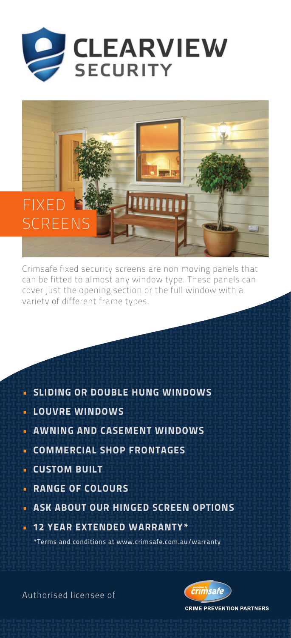



Crimsafe fixed security screens are non moving panels that can be fitted to almost any window type. These panels can cover just the opening section or the full window with a variety of different frame types.

- **SLIDING OR DOUBLE HUNG WINDOWS**
- LOUVRE WINDOWS
- **AWNING AND CASEMENT WINDOWS**
- **COMMERCIAL SHOP FRONTAGES**
- CUSTOM BUILT
- **· RANGE OF COLOURS**
- **ASK ABOUT OUR HINGED SCREEN OPTIONS**
- **12 YEAR EXTENDED WARRANTY\***

\*Terms and conditions at www.crimsafe.com.au/warranty

Authorised licensee of



**CRIME PREVENTION PARTNERS**